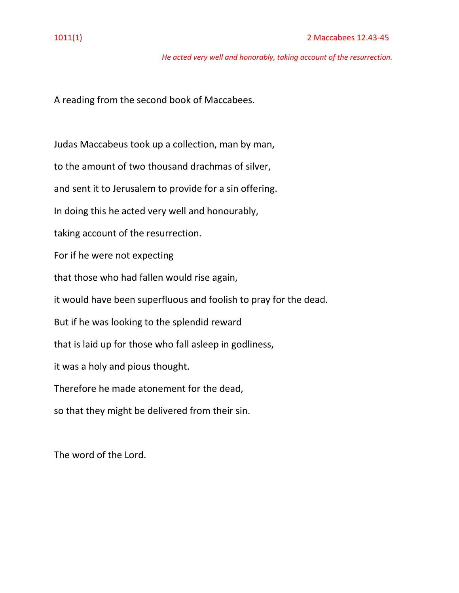*He acted very well and honorably, taking account of the resurrection.*

A reading from the second book of Maccabees.

Judas Maccabeus took up a collection, man by man,

to the amount of two thousand drachmas of silver,

and sent it to Jerusalem to provide for a sin offering.

In doing this he acted very well and honourably,

taking account of the resurrection.

For if he were not expecting

that those who had fallen would rise again,

it would have been superfluous and foolish to pray for the dead.

But if he was looking to the splendid reward

that is laid up for those who fall asleep in godliness,

it was a holy and pious thought.

Therefore he made atonement for the dead,

so that they might be delivered from their sin.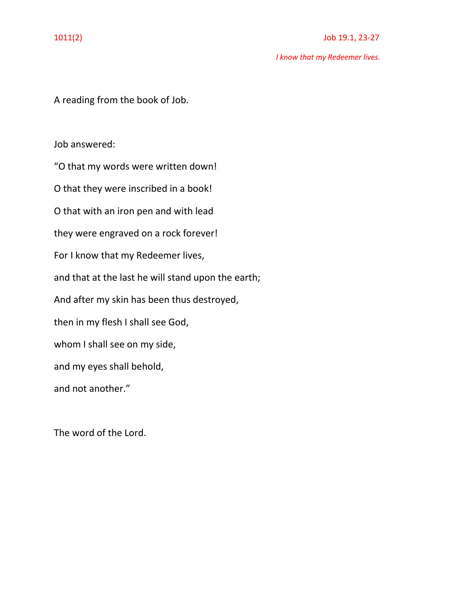*I know that my Redeemer lives.*

A reading from the book of Job.

Job answered:

"O that my words were written down! O that they were inscribed in a book! O that with an iron pen and with lead they were engraved on a rock forever! For I know that my Redeemer lives, and that at the last he will stand upon the earth; And after my skin has been thus destroyed, then in my flesh I shall see God, whom I shall see on my side, and my eyes shall behold, and not another."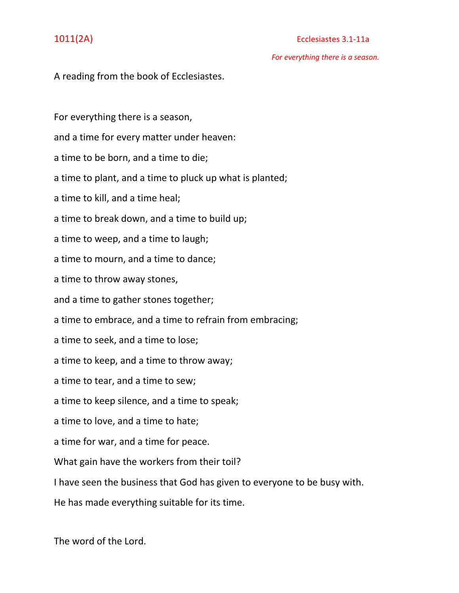# 1011(2A) Ecclesiastes 3.1-11a

 *For everything there is a season.*

A reading from the book of Ecclesiastes.

For everything there is a season,

and a time for every matter under heaven:

a time to be born, and a time to die;

a time to plant, and a time to pluck up what is planted;

a time to kill, and a time heal;

a time to break down, and a time to build up;

a time to weep, and a time to laugh;

a time to mourn, and a time to dance;

a time to throw away stones,

and a time to gather stones together;

a time to embrace, and a time to refrain from embracing;

a time to seek, and a time to lose;

a time to keep, and a time to throw away;

a time to tear, and a time to sew;

a time to keep silence, and a time to speak;

a time to love, and a time to hate;

a time for war, and a time for peace.

What gain have the workers from their toil?

I have seen the business that God has given to everyone to be busy with.

He has made everything suitable for its time.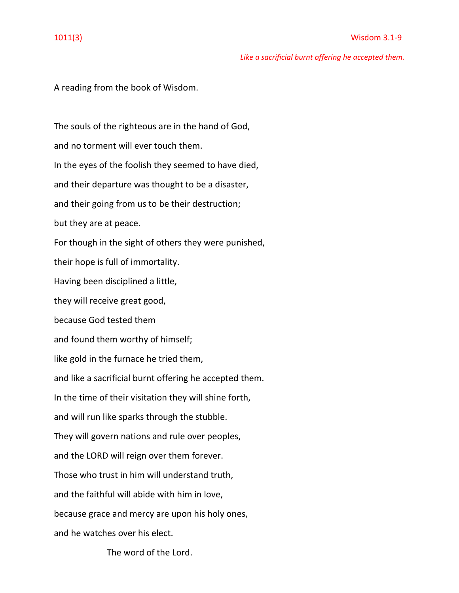*Like a sacrificial burnt offering he accepted them.*

A reading from the book of Wisdom.

The souls of the righteous are in the hand of God, and no torment will ever touch them. In the eyes of the foolish they seemed to have died, and their departure was thought to be a disaster, and their going from us to be their destruction; but they are at peace. For though in the sight of others they were punished, their hope is full of immortality. Having been disciplined a little, they will receive great good, because God tested them and found them worthy of himself; like gold in the furnace he tried them, and like a sacrificial burnt offering he accepted them. In the time of their visitation they will shine forth, and will run like sparks through the stubble. They will govern nations and rule over peoples, and the LORD will reign over them forever. Those who trust in him will understand truth, and the faithful will abide with him in love, because grace and mercy are upon his holy ones, and he watches over his elect.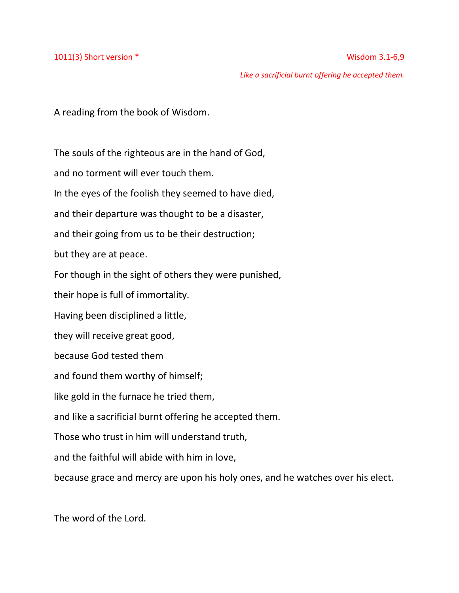1011(3) Short version \* Wisdom 3.1-6,9

 *Like a sacrificial burnt offering he accepted them.*

A reading from the book of Wisdom.

The souls of the righteous are in the hand of God,

and no torment will ever touch them.

In the eyes of the foolish they seemed to have died,

and their departure was thought to be a disaster,

and their going from us to be their destruction;

but they are at peace.

For though in the sight of others they were punished,

their hope is full of immortality.

Having been disciplined a little,

they will receive great good,

because God tested them

and found them worthy of himself;

like gold in the furnace he tried them,

and like a sacrificial burnt offering he accepted them.

Those who trust in him will understand truth,

and the faithful will abide with him in love,

because grace and mercy are upon his holy ones, and he watches over his elect.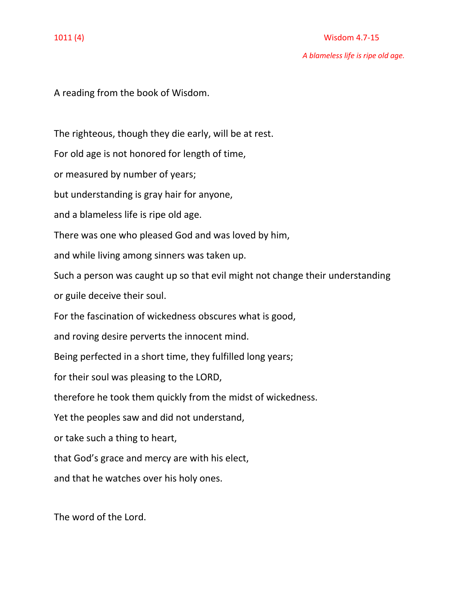## 1011 (4) Wisdom 4.7-15

*A blameless life is ripe old age.*

A reading from the book of Wisdom.

The righteous, though they die early, will be at rest.

For old age is not honored for length of time,

or measured by number of years;

but understanding is gray hair for anyone,

and a blameless life is ripe old age.

There was one who pleased God and was loved by him,

and while living among sinners was taken up.

Such a person was caught up so that evil might not change their understanding

or guile deceive their soul.

For the fascination of wickedness obscures what is good,

and roving desire perverts the innocent mind.

Being perfected in a short time, they fulfilled long years;

for their soul was pleasing to the LORD,

therefore he took them quickly from the midst of wickedness.

Yet the peoples saw and did not understand,

or take such a thing to heart,

that God's grace and mercy are with his elect,

and that he watches over his holy ones.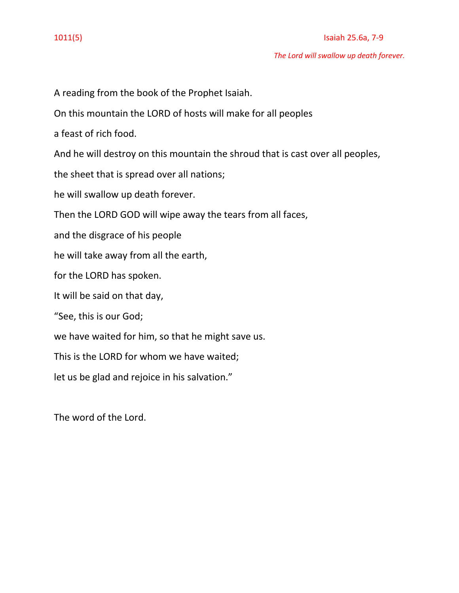## 1011(5) Isaiah 25.6a, 7-9

*The Lord will swallow up death forever.*

A reading from the book of the Prophet Isaiah. On this mountain the LORD of hosts will make for all peoples a feast of rich food. And he will destroy on this mountain the shroud that is cast over all peoples, the sheet that is spread over all nations; he will swallow up death forever. Then the LORD GOD will wipe away the tears from all faces, and the disgrace of his people he will take away from all the earth, for the LORD has spoken. It will be said on that day, "See, this is our God; we have waited for him, so that he might save us. This is the LORD for whom we have waited; let us be glad and rejoice in his salvation."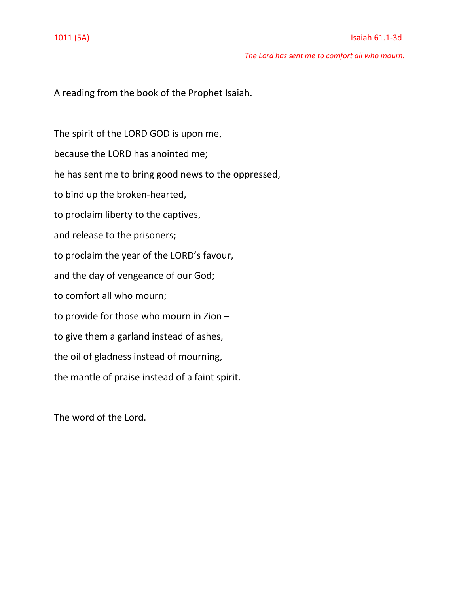*The Lord has sent me to comfort all who mourn.*

A reading from the book of the Prophet Isaiah.

The spirit of the LORD GOD is upon me, because the LORD has anointed me; he has sent me to bring good news to the oppressed, to bind up the broken-hearted, to proclaim liberty to the captives, and release to the prisoners; to proclaim the year of the LORD's favour, and the day of vengeance of our God; to comfort all who mourn; to provide for those who mourn in Zion – to give them a garland instead of ashes, the oil of gladness instead of mourning, the mantle of praise instead of a faint spirit.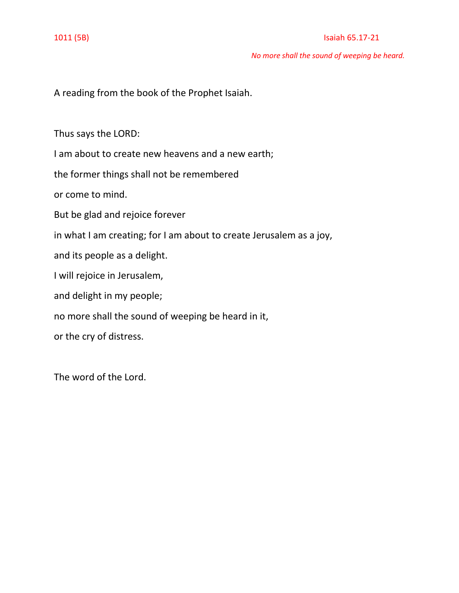### 1011 (5B) Isaiah 65.17-21

*No more shall the sound of weeping be heard.*

A reading from the book of the Prophet Isaiah.

Thus says the LORD:

I am about to create new heavens and a new earth;

the former things shall not be remembered

or come to mind.

But be glad and rejoice forever

in what I am creating; for I am about to create Jerusalem as a joy,

and its people as a delight.

I will rejoice in Jerusalem,

and delight in my people;

no more shall the sound of weeping be heard in it,

or the cry of distress.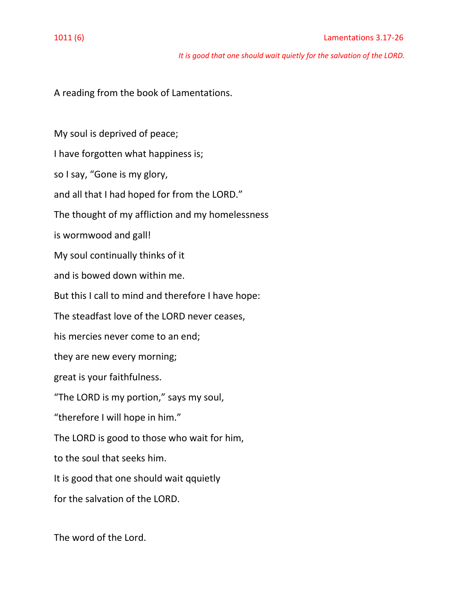*It is good that one should wait quietly for the salvation of the LORD.*

A reading from the book of Lamentations.

My soul is deprived of peace; I have forgotten what happiness is; so I say, "Gone is my glory, and all that I had hoped for from the LORD." The thought of my affliction and my homelessness is wormwood and gall! My soul continually thinks of it and is bowed down within me. But this I call to mind and therefore I have hope: The steadfast love of the LORD never ceases, his mercies never come to an end; they are new every morning; great is your faithfulness. "The LORD is my portion," says my soul, "therefore I will hope in him." The LORD is good to those who wait for him, to the soul that seeks him. It is good that one should wait qquietly for the salvation of the LORD.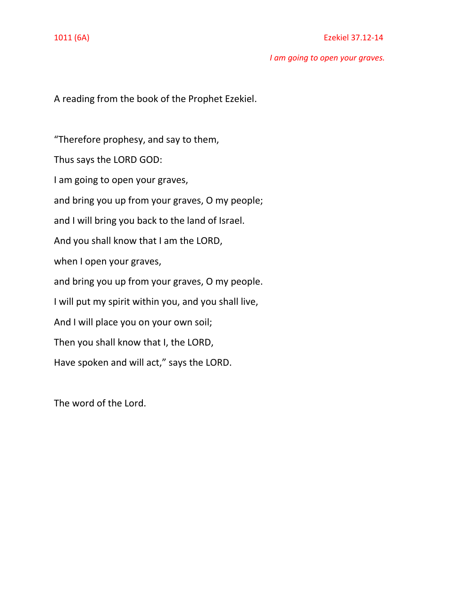### 1011 (6A) Ezekiel 37.12-14

*I am going to open your graves.*

A reading from the book of the Prophet Ezekiel.

"Therefore prophesy, and say to them, Thus says the LORD GOD: I am going to open your graves, and bring you up from your graves, O my people; and I will bring you back to the land of Israel. And you shall know that I am the LORD, when I open your graves, and bring you up from your graves, O my people. I will put my spirit within you, and you shall live, And I will place you on your own soil; Then you shall know that I, the LORD, Have spoken and will act," says the LORD.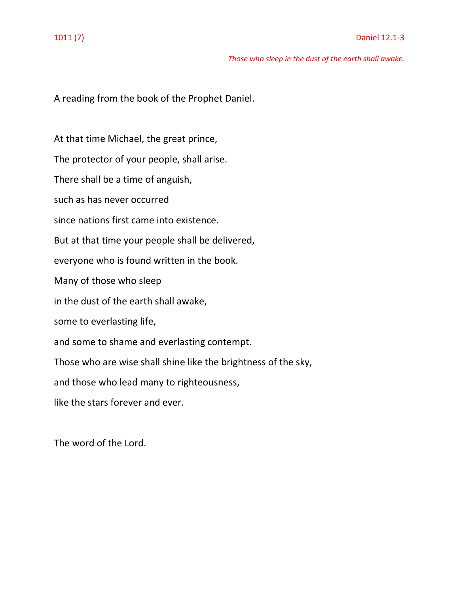### *Those who sleep in the dust of the earth shall awake.*

A reading from the book of the Prophet Daniel.

At that time Michael, the great prince, The protector of your people, shall arise. There shall be a time of anguish, such as has never occurred since nations first came into existence. But at that time your people shall be delivered, everyone who is found written in the book. Many of those who sleep in the dust of the earth shall awake, some to everlasting life, and some to shame and everlasting contempt. Those who are wise shall shine like the brightness of the sky, and those who lead many to righteousness, like the stars forever and ever.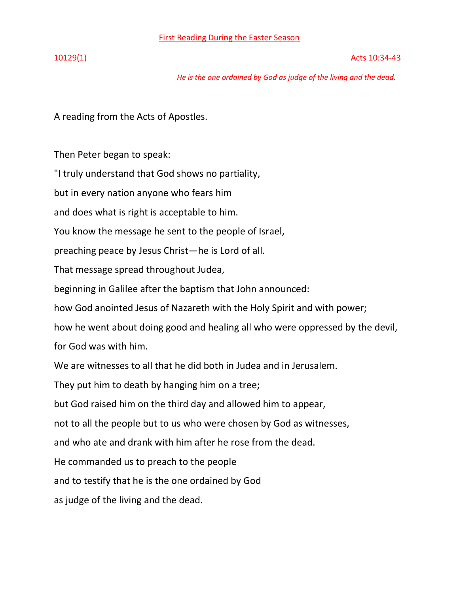First Reading During the Easter Season

*He is the one ordained by God as judge of the living and the dead.*

A reading from the Acts of Apostles.

Then Peter began to speak:

"I truly understand that God shows no partiality,

but in every nation anyone who fears him

and does what is right is acceptable to him.

You know the message he sent to the people of Israel,

preaching peace by Jesus Christ—he is Lord of all.

That message spread throughout Judea,

beginning in Galilee after the baptism that John announced:

how God anointed Jesus of Nazareth with the Holy Spirit and with power;

how he went about doing good and healing all who were oppressed by the devil, for God was with him.

We are witnesses to all that he did both in Judea and in Jerusalem.

They put him to death by hanging him on a tree;

but God raised him on the third day and allowed him to appear,

not to all the people but to us who were chosen by God as witnesses,

and who ate and drank with him after he rose from the dead.

He commanded us to preach to the people

and to testify that he is the one ordained by God

as judge of the living and the dead.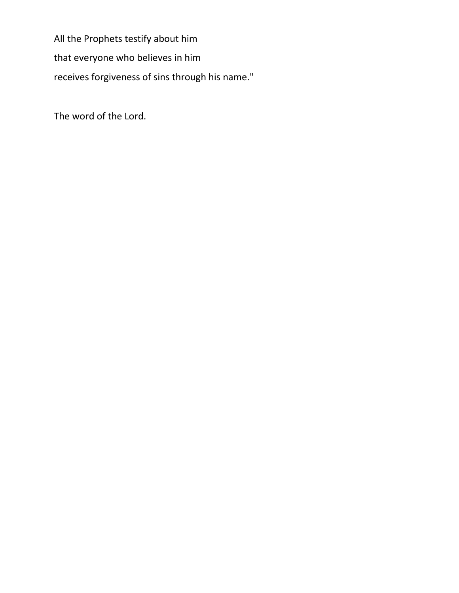All the Prophets testify about him that everyone who believes in him receives forgiveness of sins through his name."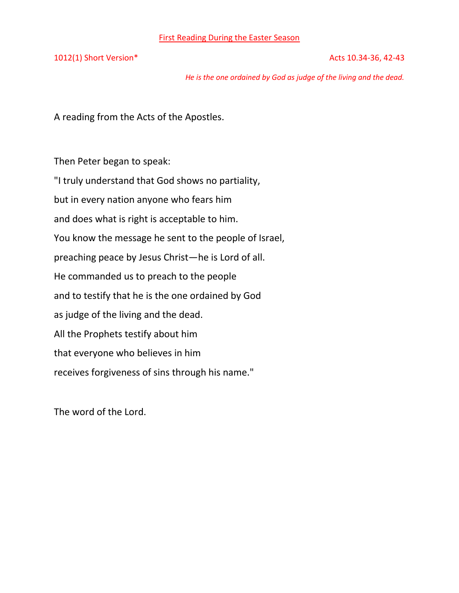1012(1) Short Version\* 2012(1) Short Version\* 2012(1) Short Version\*

*He is the one ordained by God as judge of the living and the dead.*

A reading from the Acts of the Apostles.

Then Peter began to speak: "I truly understand that God shows no partiality, but in every nation anyone who fears him and does what is right is acceptable to him. You know the message he sent to the people of Israel, preaching peace by Jesus Christ—he is Lord of all. He commanded us to preach to the people and to testify that he is the one ordained by God as judge of the living and the dead. All the Prophets testify about him that everyone who believes in him receives forgiveness of sins through his name."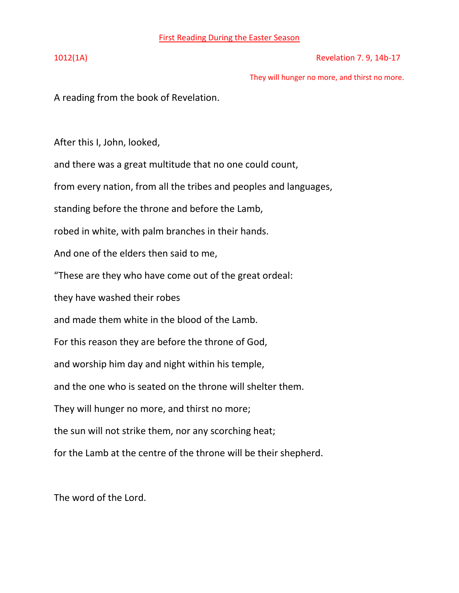1012(1A) Revelation 7. 9, 14b-17

They will hunger no more, and thirst no more.

A reading from the book of Revelation.

After this I, John, looked,

and there was a great multitude that no one could count,

from every nation, from all the tribes and peoples and languages,

standing before the throne and before the Lamb,

robed in white, with palm branches in their hands.

And one of the elders then said to me,

"These are they who have come out of the great ordeal:

they have washed their robes

and made them white in the blood of the Lamb.

For this reason they are before the throne of God,

and worship him day and night within his temple,

and the one who is seated on the throne will shelter them.

They will hunger no more, and thirst no more;

the sun will not strike them, nor any scorching heat;

for the Lamb at the centre of the throne will be their shepherd.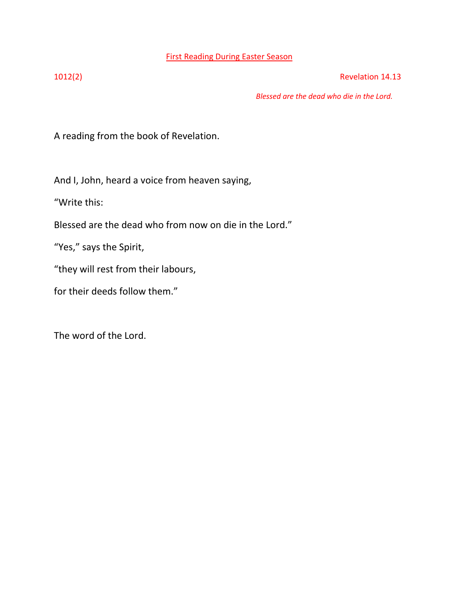## First Reading During Easter Season

1012(2) Revelation 14.13

*Blessed are the dead who die in the Lord.*

A reading from the book of Revelation.

And I, John, heard a voice from heaven saying,

"Write this:

Blessed are the dead who from now on die in the Lord."

"Yes," says the Spirit,

"they will rest from their labours,

for their deeds follow them."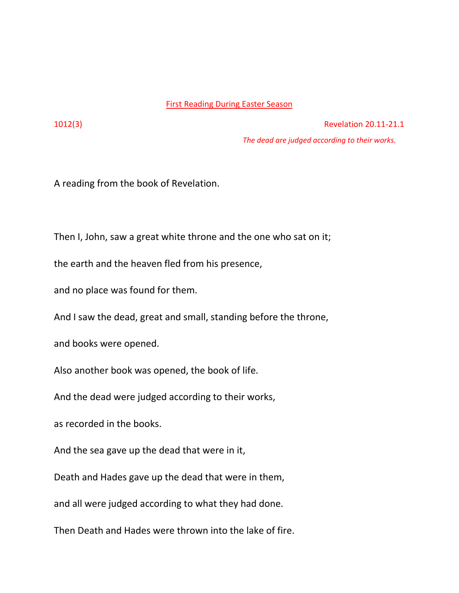## First Reading During Easter Season

1012(3) Revelation 20.11-21.1

*The dead are judged according to their works.*

A reading from the book of Revelation.

Then I, John, saw a great white throne and the one who sat on it;

the earth and the heaven fled from his presence,

and no place was found for them.

And I saw the dead, great and small, standing before the throne,

and books were opened.

Also another book was opened, the book of life.

And the dead were judged according to their works,

as recorded in the books.

And the sea gave up the dead that were in it,

Death and Hades gave up the dead that were in them,

and all were judged according to what they had done.

Then Death and Hades were thrown into the lake of fire.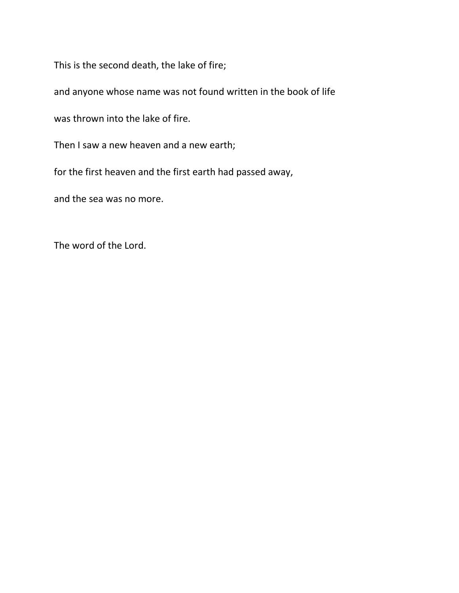This is the second death, the lake of fire;

and anyone whose name was not found written in the book of life

was thrown into the lake of fire.

Then I saw a new heaven and a new earth;

for the first heaven and the first earth had passed away,

and the sea was no more.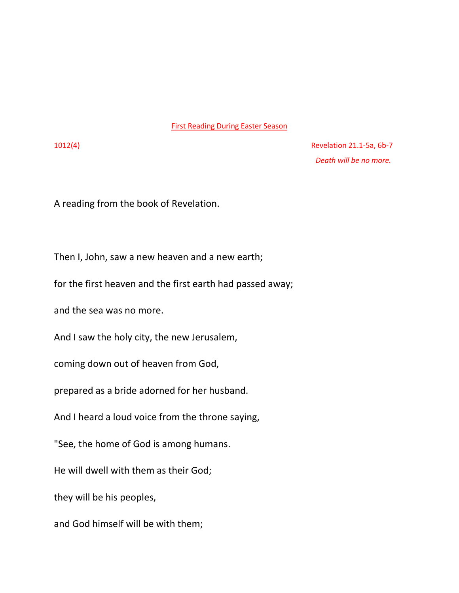### First Reading During Easter Season

1012(4) Revelation 21.1-5a, 6b-7  *Death will be no more.*

A reading from the book of Revelation.

Then I, John, saw a new heaven and a new earth;

for the first heaven and the first earth had passed away;

and the sea was no more.

And I saw the holy city, the new Jerusalem,

coming down out of heaven from God,

prepared as a bride adorned for her husband.

And I heard a loud voice from the throne saying,

"See, the home of God is among humans.

He will dwell with them as their God;

they will be his peoples,

and God himself will be with them;